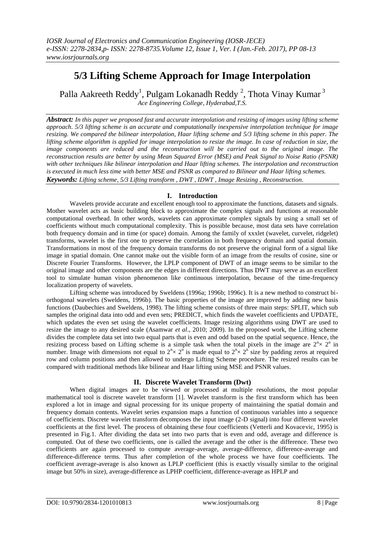# **5/3 Lifting Scheme Approach for Image Interpolation**

Palla Aakreeth Reddy<sup>1</sup>, Pulgam Lokanadh Reddy<sup>2</sup>, Thota Vinay Kumar<sup>3</sup> *Ace Engineering College, Hyderabad,T.S.*

*Abstract: In this paper we proposed fast and accurate interpolation and resizing of images using lifting scheme approach. 5/3 lifting scheme is an accurate and computationally inexpensive interpolation technique for image resizing. We compared the bilinear interpolation, Haar lifting scheme and 5/3 lifting scheme in this paper. The lifting scheme algorithm is applied for image interpolation to resize the image. In case of reduction in size, the image components are reduced and the reconstruction will be carried out to the original image. The reconstruction results are better by using Mean Squared Error (MSE) and Peak Signal to Noise Ratio (PSNR) with other techniques like bilinear interpolation and Haar lifting schemes. The interpolation and reconstruction is executed in much less time with better MSE and PSNR as compared to Bilinear and Haar lifting schemes. Keywords: Lifting scheme, 5/3 Lifting transform , DWT , IDWT , Image Resizing , Reconstruction.*

## **I. Introduction**

Wavelets provide accurate and excellent enough tool to approximate the functions, datasets and signals. Mother wavelet acts as basic building block to approximate the complex signals and functions at reasonable computational overhead. In other words, wavelets can approximate complex signals by using a small set of coefficients without much computational complexity. This is possible because, most data sets have correlation both frequency domain and in time (or space) domain. Among the family of xxxlet (wavelet, curvelet, ridgelet) transforms, wavelet is the first one to preserve the correlation in both frequency domain and spatial domain. Transformations in most of the frequency domain transforms do not preserve the original form of a signal like image in spatial domain. One cannot make out the visible form of an image from the results of cosine, sine or Discrete Fourier Transforms. However, the LPLP component of DWT of an image seems to be similar to the original image and other components are the edges in different directions. Thus DWT may serve as an excellent tool to simulate human vision phenomenon like continuous interpolation, because of the time-frequency localization property of wavelets.

Lifting scheme was introduced by Sweldens (1996a; 1996b; 1996c). It is a new method to construct biorthogonal wavelets (Sweldens, 1996b). The basic properties of the image are improved by adding new basis functions (Daubechies and Sweldens, 1998). The lifting scheme consists of three main steps: SPLIT, which sub samples the original data into odd and even sets; PREDICT, which finds the wavelet coefficients and UPDATE, which updates the even set using the wavelet coefficients. Image resizing algorithms using DWT are used to resize the image to any desired scale (Asamwar *et al*., 2010; 2009). In the proposed work, the Lifting scheme divides the complete data set into two equal parts that is even and odd based on the spatial sequence. Hence, the resizing process based on Lifting scheme is a simple task when the total pixels in the image are  $2^{n} \times 2^{n}$  in number. Image with dimensions not equal to  $2^{n} \times 2^{n}$  is made equal to  $2^{n} \times 2^{n}$  size by padding zeros at required row and column positions and then allowed to undergo Lifting Scheme procedure. The resized results can be compared with traditional methods like bilinear and Haar lifting using MSE and PSNR values.

## **II. Discrete Wavelet Transform (Dwt)**

When digital images are to be viewed or processed at multiple resolutions, the most popular mathematical tool is discrete wavelet transform [1]. Wavelet transform is the first transform which has been explored a lot in image and signal processing for its unique property of maintaining the spatial domain and frequency domain contents. Wavelet series expansion maps a function of continuous variables into a sequence of coefficients. Discrete wavelet transform decomposes the input image (2-D signal) into four different wavelet coefficients at the first level. The process of obtaining these four coefficients (Vetterli and Kovacevic, 1995) is presented in Fig.1. After dividing the data set into two parts that is even and odd, average and difference is computed. Out of these two coefficients, one is called the average and the other is the difference. These two coefficients are again processed to compute average-average, average-difference, difference-average and difference-difference terms. Thus after completion of the whole process we have four coefficients. The coefficient average-average is also known as LPLP coefficient (this is exactly visually similar to the original image but 50% in size), average-difference as LPHP coefficient, difference-average as HPLP and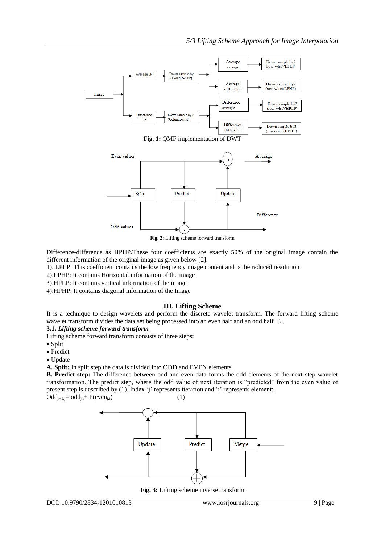



**Fig. 2:** Lifting scheme forward transform

Difference-difference as HPHP.These four coefficients are exactly 50% of the original image contain the different information of the original image as given below [2].

1). LPLP: This coefficient contains the low frequency image content and is the reduced resolution

LPHP: It contains Horizontal information of the image

HPLP: It contains vertical information of the image

HPHP: It contains diagonal information of the Image

## **III. Lifting Scheme**

It is a technique to design wavelets and perform the discrete wavelet transform. The forward lifting scheme wavelet transform divides the data set being processed into an even half and an odd half [3].

#### **3.1.** *Lifting scheme forward transform*

Lifting scheme forward transform consists of three steps:

- $\bullet$  Split
- Predict
- Update

**A. Split:** In split step the data is divided into ODD and EVEN elements.

**B. Predict step:** The difference between odd and even data forms the odd elements of the next step wavelet transformation. The predict step, where the odd value of next iteration is "predicted" from the even value of present step is described by (1). Index 'j' represents iteration and 'i' represents element:  $Odd_{i+1,i} = odd_{i,i} + P(even_{i,i})$  (1)



**Fig. 3:** Lifting scheme inverse transform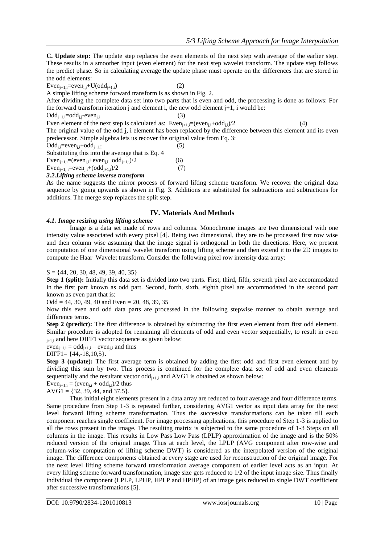**C. Update step:** The update step replaces the even elements of the next step with average of the earlier step. These results in a smoother input (even element) for the next step wavelet transform. The update step follows the predict phase. So in calculating average the update phase must operate on the differences that are stored in the odd elements:

 $Even_{i+1,i}=even_{i,i}+U(odd_{i+1,i})$  (2)

A simple lifting scheme forward transform is as shown in Fig. 2.

After dividing the complete data set into two parts that is even and odd, the processing is done as follows: For the forward transform iteration j and element i, the new odd element  $j+1$ , i would be:

 $Odd_{i+1,i}=odd_{i,i}-even_{i,i}$  (3)

Even element of the next step is calculated as:  $Even_{i+1}:=(even_i, +odd_i)/2$  (4)

The original value of the odd j, i element has been replaced by the difference between this element and its even predecessor. Simple algebra lets us recover the original value from Eq. 3:

 $Odd_{i} = even_{i} + odd_{i+1}$  (5)

Substituting this into the average that is Eq. 4

Even<sub>i+1,i</sub>=(even<sub>i,i</sub>+even<sub>i,i</sub>+odd<sub>i+1,i</sub>)/2 (6) Even<sub>i+1</sub>  $:=$ even<sub>i</sub> $+$ (odd<sub>i+1</sub>)/2 (7)

*3.2.Lifting scheme inverse transform*

**A**s the name suggests the mirror process of forward lifting scheme transform. We recover the original data sequence by going upwards as shown in Fig. 3. Additions are substituted for subtractions and subtractions for additions. The merge step replaces the split step.

## **IV. Materials And Methods**

#### *4.1. Image resizing using lifting scheme*

Image is a data set made of rows and columns. Monochrome images are two dimensional with one intensity value associated with every pixel [4]. Being two dimensional, they are to be processed first row wise and then column wise assuming that the image signal is orthogonal in both the directions. Here, we present computation of one dimensional wavelet transform using lifting scheme and then extend it to the 2D images to compute the Haar Wavelet transform. Consider the following pixel row intensity data array:

 $S = \{44, 20, 30, 48, 49, 39, 40, 35\}$ 

**Step 1 (split):** Initially this data set is divided into two parts. First, third, fifth, seventh pixel are accommodated in the first part known as odd part. Second, forth, sixth, eighth pixel are accommodated in the second part known as even part that is:

 $Odd = 44, 30, 49, 40$  and Even = 20, 48, 39, 35

Now this even and odd data parts are processed in the following stepwise manner to obtain average and difference terms.

**Step 2 (predict):** The first difference is obtained by subtracting the first even element from first odd element. Similar procedure is adopted for remaining all elements of odd and even vector sequentially, to result in even  $_{j+1,i}$  and here DIFF1 vector sequence as given below:

 $even_{i+1,i} = odd_{i+1,i} - even_{i,i}$  and thus

DIFF1=  $\{44, -18, 10, 5\}$ .

**Step 3 (update):** The first average term is obtained by adding the first odd and first even element and by dividing this sum by two. This process is continued for the complete data set of odd and even elements sequentially and the resultant vector  $odd_{i+1,i}$  and AVG1 is obtained as shown below:

Even<sub>i+1,i</sub> = (even<sub>i,i</sub> + odd<sub>i,i</sub>)/2 thus

 $AVG1 = \{32, 39, 44, and 37.5\}.$ 

Thus initial eight elements present in a data array are reduced to four average and four difference terms. Same procedure from Step 1-3 is repeated further, considering AVG1 vector as input data array for the next level forward lifting scheme transformation. Thus the successive transformations can be taken till each component reaches single coefficient. For image processing applications, this procedure of Step 1-3 is applied to all the rows present in the image. The resulting matrix is subjected to the same procedure of 1-3 Steps on all columns in the image. This results in Low Pass Low Pass (LPLP) approximation of the image and is the 50% reduced version of the original image. Thus at each level, the LPLP (AVG component after row-wise and column-wise computation of lifting scheme DWT) is considered as the interpolated version of the original image. The difference components obtained at every stage are used for reconstruction of the original image. For the next level lifting scheme forward transformation average component of earlier level acts as an input. At every lifting scheme forward transformation, image size gets reduced to 1/2 of the input image size. Thus finally individual the component (LPLP, LPHP, HPLP and HPHP) of an image gets reduced to single DWT coefficient after successive transformations [5].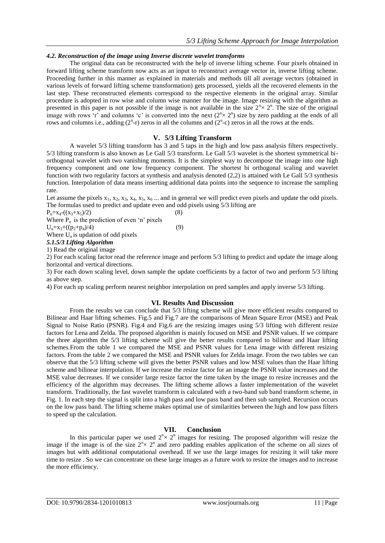## *4.2. Reconstruction of the image using Inverse discrete wavelet transforms*

The original data can be reconstructed with the help of inverse lifting scheme. Four pixels obtained in forward lifting scheme transform now acts as an input to reconstruct average vector in, inverse lifting scheme. Proceeding further in this manner as explained in materials and methods till all average vectors (obtained in various levels of forward lifting scheme transformation) gets processed, yields all the recovered elements in the last step. These reconstructed elements correspond to the respective elements in the original array. Similar procedure is adopted in row wise and column wise manner for the image. Image resizing with the algorithm as presented in this paper is not possible if the image is not available in the size  $2<sup>n</sup>\times 2<sup>n</sup>$ . The size of the original image with rows 'r' and columns 'c' is converted into the next  $(2<sup>n</sup> \times 2<sup>n</sup>)$  size by zero padding at the ends of all rows and columns i.e., adding  $(2<sup>n</sup>-r)$  zeros in all the columns and  $(2<sup>n</sup>-c)$  zeros in all the rows at the ends.

## **V. 5/3 Lifting Transform**

A wavelet 5/3 lifting transform has 3 and 5 taps in the high and low pass analysis filters respectively. 5/3 lifting transform is also known as Le Gall 5/3 transform. Le Gall 5/3 wavelet is the shortest symmetrical biorthogonal wavelet with two vanishing moments. It is the simplest way to decompose the image into one high frequency component and one low frequency component. The shortest bi orthogonal scaling and wavelet function with two regularity factors at synthesis and analysis denoted (2,2) is attained with Le Gall 5/3 synthesis function. Interpolation of data means inserting additional data points into the sequence to increase the sampling rate.

Let assume the pixels  $x_1, x_2, x_3, x_4, x_5, x_6, \ldots$  and in general we will predict even pixels and update the odd pixels. The formulas used to predict and update even and odd pixels using 5/3 lifting are

 $P_n = x_4 - ((x_3 + x_5)/2)$  (8)

Where  $P_n$  is the prediction of even 'n' pixels

 $U_n = x_3 + ((p_2 + p_4)/4)$  (9)

Where  $U_n$  is updation of odd pixels *5.1.5/3 Lifting Algorithm*

1) Read the original image

2) For each scaling factor read the reference image and perform 5/3 lifting to predict and update the image along horizontal and vertical directions.

3) For each down scaling level, down sample the update coefficients by a factor of two and perform 5/3 lifting as above step.

4) For each up scaling perform nearest neighbor interpolation on pred samples and apply inverse 5/3 lifting.

## **VI. Results And Discussion**

From the results we can conclude that 5/3 lifting scheme will give more efficient results compared to Bilinear and Haar lifting schemes. Fig.5 and Fig.7 are the comparisons of Mean Square Error (MSE) and Peak Signal to Noise Ratio (PSNR). Fig.4 and Fig.6 are the resizing images using 5/3 lifting with different resize factors for Lena and Zelda. The proposed algorithm is mainly focused on MSE and PSNR values. If we compare the three algorithm the 5/3 lifting scheme will give the better results compared to bilinear and Haar lifting schemes.From the table 1 we compared the MSE and PSNR values for Lena image with different resizing factors. From the table 2 we compared the MSE and PSNR values for Zelda image. From the two tables we can observe that the 5/3 lifting scheme will gives the better PSNR values and low MSE values than the Haar lifting scheme and bilinear interpolation. If we increase the resize factor for an image the PSNR value increases and the MSE value decreases. If we consider large resize factor the time taken by the image to resize increases and the efficiency of the algorithm may decreases. The lifting scheme allows a faster implementation of the wavelet transform. Traditionally, the fast wavelet transform is calculated with a two-band sub band transform scheme, in Fig. 1. In each step the signal is split into a high pass and low pass band and then sub sampled. Recursion occurs on the low pass band. The lifting scheme makes optimal use of similarities between the high and low pass filters to speed up the calculation.

## **VII. Conclusion**

In this particular paper we used  $2<sup>n</sup> \times 2<sup>n</sup>$  images for resizing. The proposed algorithm will resize the image if the image is of the size  $2^{n} \times 2^{n}$  and zero padding enables application of the scheme on all sizes of images but with additional computational overhead. If we use the large images for resizing it will take more time to resize . So we can concentrate on these large images as a future work to resize the images and to increase the more efficiency.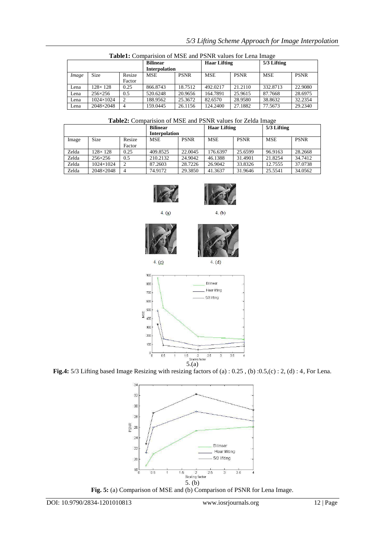|       |                  |                  | <b>Bilinear</b><br><b>Interpolation</b> |             | <b>Haar Lifting</b> |             | 5/3 Lifting |             |
|-------|------------------|------------------|-----------------------------------------|-------------|---------------------|-------------|-------------|-------------|
| Image | <b>Size</b>      | Resize<br>Factor | <b>MSE</b>                              | <b>PSNR</b> | <b>MSE</b>          | <b>PSNR</b> | <b>MSE</b>  | <b>PSNR</b> |
| Lena  | $128\times128$   | 0.25             | 866.8743                                | 18.7512     | 492.0217            | 21.2110     | 332.8713    | 22.9080     |
| Lena  | $256 \times 256$ | 0.5              | 520.6248                                | 20.9656     | 164.7891            | 25.9615     | 87.7668     | 28.6975     |
| Lena  | 1024×1024        |                  | 188.9562                                | 25.3672     | 82.6570             | 28.9580     | 38.8632     | 32.2354     |
| Lena  | 2048×2048        |                  | 159.0445                                | 26.1156     | 124.2400            | 27.1882     | 77.5673     | 29.2340     |

**Table1:** Comparision of MSE and PSNR values for Lena Image

### **Table2:** Comparision of MSE and PSNR values for Zelda Image

|       |                  |        | <b>Bilinear</b>      |             | <b>Haar Lifting</b> |             | 5/3 Lifting |             |
|-------|------------------|--------|----------------------|-------------|---------------------|-------------|-------------|-------------|
|       |                  |        | <b>Interpolation</b> |             |                     |             |             |             |
| Image | <b>Size</b>      | Resize | <b>MSE</b>           | <b>PSNR</b> | <b>MSE</b>          | <b>PSNR</b> | <b>MSE</b>  | <b>PSNR</b> |
|       |                  | Factor |                      |             |                     |             |             |             |
| Zelda | $128\times128$   | 0.25   | 409.8525             | 22.0045     | 176.6397            | 25.6599     | 96.9163     | 28.2668     |
| Zelda | $256 \times 256$ | 0.5    | 210.2132             | 24.9042     | 46.1388             | 31.4901     | 21.8254     | 34.7412     |
| Zelda | 1024×1024        |        | 87.2603              | 28.7226     | 26.9042             | 33.8326     | 12.7555     | 37.0738     |
| Zelda | 2048×2048        | 4      | 74.9172              | 29.3850     | 41.3637             | 31.9646     | 25.5541     | 34.0562     |





 $4. (a)$ 

 $4.$  (b)





 $4. (c)$ 

 $4. (d)$ 



**Fig.4:** 5/3 Lifting based Image Resizing with resizing factors of (a) : 0.25 , (b) :0.5,(c) : 2, (d) : 4, For Lena.